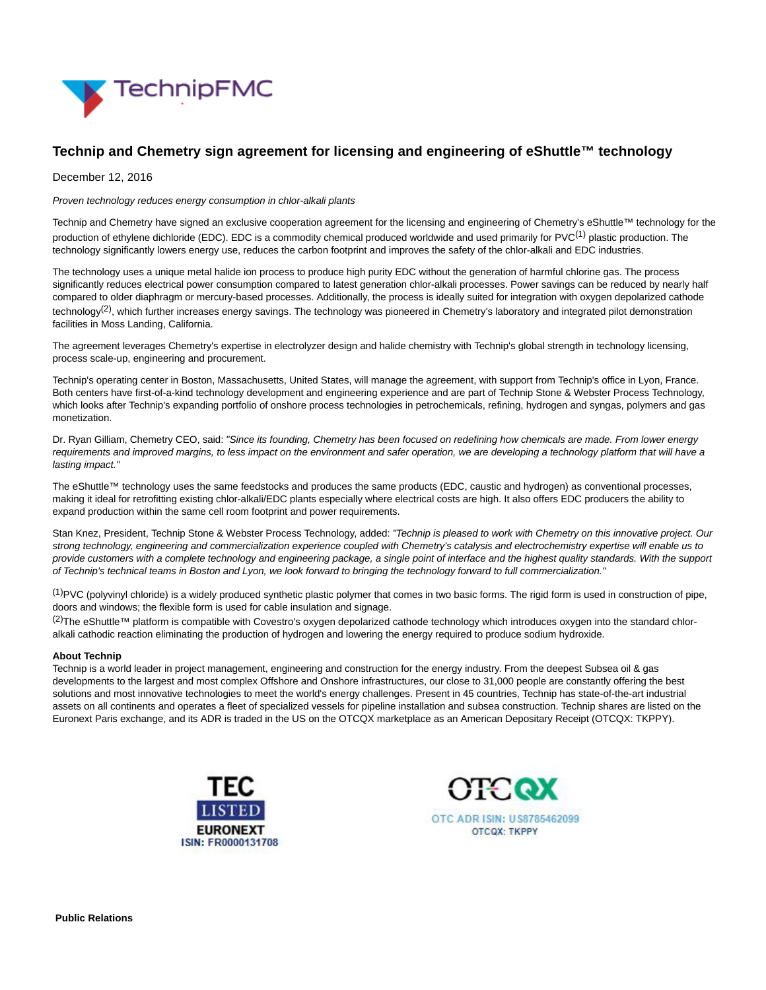

# **Technip and Chemetry sign agreement for licensing and engineering of eShuttle™ technology**

December 12, 2016

Proven technology reduces energy consumption in chlor-alkali plants

Technip and Chemetry have signed an exclusive cooperation agreement for the licensing and engineering of Chemetry's eShuttle™ technology for the production of ethylene dichloride (EDC). EDC is a commodity chemical produced worldwide and used primarily for PVC<sup>(1)</sup> plastic production. The technology significantly lowers energy use, reduces the carbon footprint and improves the safety of the chlor-alkali and EDC industries.

The technology uses a unique metal halide ion process to produce high purity EDC without the generation of harmful chlorine gas. The process significantly reduces electrical power consumption compared to latest generation chlor-alkali processes. Power savings can be reduced by nearly half compared to older diaphragm or mercury-based processes. Additionally, the process is ideally suited for integration with oxygen depolarized cathode technology<sup>(2)</sup>, which further increases energy savings. The technology was pioneered in Chemetry's laboratory and integrated pilot demonstration facilities in Moss Landing, California.

The agreement leverages Chemetry's expertise in electrolyzer design and halide chemistry with Technip's global strength in technology licensing, process scale-up, engineering and procurement.

Technip's operating center in Boston, Massachusetts, United States, will manage the agreement, with support from Technip's office in Lyon, France. Both centers have first-of-a-kind technology development and engineering experience and are part of Technip Stone & Webster Process Technology, which looks after Technip's expanding portfolio of onshore process technologies in petrochemicals, refining, hydrogen and syngas, polymers and gas monetization.

Dr. Ryan Gilliam, Chemetry CEO, said: "Since its founding, Chemetry has been focused on redefining how chemicals are made. From lower energy requirements and improved margins, to less impact on the environment and safer operation, we are developing a technology platform that will have a lasting impact."

The eShuttle™ technology uses the same feedstocks and produces the same products (EDC, caustic and hydrogen) as conventional processes, making it ideal for retrofitting existing chlor-alkali/EDC plants especially where electrical costs are high. It also offers EDC producers the ability to expand production within the same cell room footprint and power requirements.

Stan Knez, President, Technip Stone & Webster Process Technology, added: "Technip is pleased to work with Chemetry on this innovative project. Our strong technology, engineering and commercialization experience coupled with Chemetry's catalysis and electrochemistry expertise will enable us to provide customers with a complete technology and engineering package, a single point of interface and the highest quality standards. With the support of Technip's technical teams in Boston and Lyon, we look forward to bringing the technology forward to full commercialization."

 $^{(1)}$ PVC (polyvinyl chloride) is a widely produced synthetic plastic polymer that comes in two basic forms. The rigid form is used in construction of pipe. doors and windows; the flexible form is used for cable insulation and signage.

<sup>(2)</sup>The eShuttle™ platform is compatible with Covestro's oxygen depolarized cathode technology which introduces oxygen into the standard chloralkali cathodic reaction eliminating the production of hydrogen and lowering the energy required to produce sodium hydroxide.

## **About Technip**

Technip is a world leader in project management, engineering and construction for the energy industry. From the deepest Subsea oil & gas developments to the largest and most complex Offshore and Onshore infrastructures, our close to 31,000 people are constantly offering the best solutions and most innovative technologies to meet the world's energy challenges. Present in 45 countries, Technip has state-of-the-art industrial assets on all continents and operates a fleet of specialized vessels for pipeline installation and subsea construction. Technip shares are listed on the Euronext Paris exchange, and its ADR is traded in the US on the OTCQX marketplace as an American Depositary Receipt (OTCQX: TKPPY).